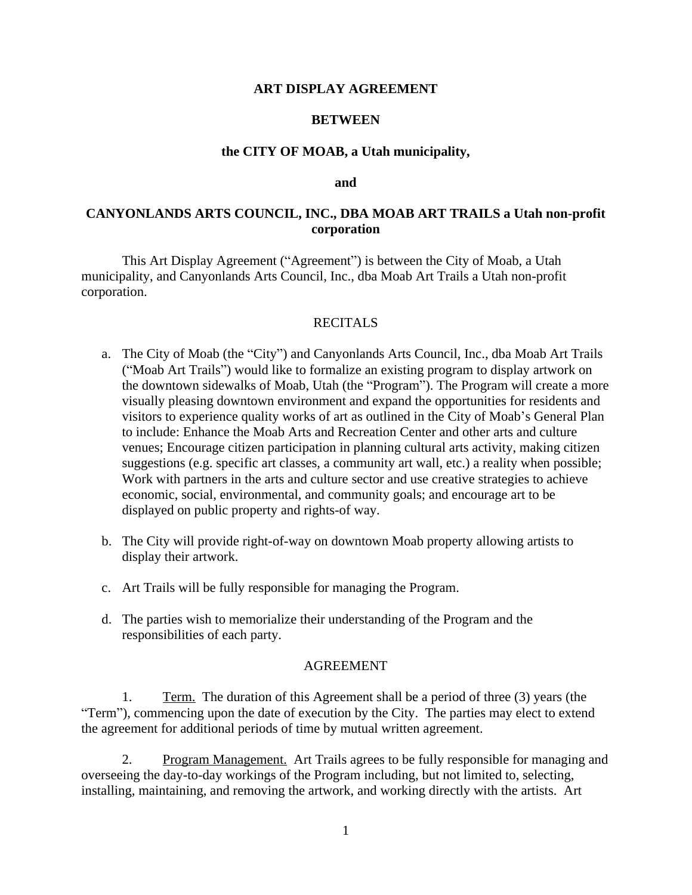# **ART DISPLAY AGREEMENT**

## **BETWEEN**

## **the CITY OF MOAB, a Utah municipality,**

#### **and**

# **CANYONLANDS ARTS COUNCIL, INC., DBA MOAB ART TRAILS a Utah non-profit corporation**

This Art Display Agreement ("Agreement") is between the City of Moab, a Utah municipality, and Canyonlands Arts Council, Inc., dba Moab Art Trails a Utah non-profit corporation.

## RECITALS

- a. The City of Moab (the "City") and Canyonlands Arts Council, Inc., dba Moab Art Trails ("Moab Art Trails") would like to formalize an existing program to display artwork on the downtown sidewalks of Moab, Utah (the "Program"). The Program will create a more visually pleasing downtown environment and expand the opportunities for residents and visitors to experience quality works of art as outlined in the City of Moab's General Plan to include: Enhance the Moab Arts and Recreation Center and other arts and culture venues; Encourage citizen participation in planning cultural arts activity, making citizen suggestions (e.g. specific art classes, a community art wall, etc.) a reality when possible; Work with partners in the arts and culture sector and use creative strategies to achieve economic, social, environmental, and community goals; and encourage art to be displayed on public property and rights-of way.
- b. The City will provide right-of-way on downtown Moab property allowing artists to display their artwork.
- c. Art Trails will be fully responsible for managing the Program.
- d. The parties wish to memorialize their understanding of the Program and the responsibilities of each party.

### AGREEMENT

1. Term. The duration of this Agreement shall be a period of three (3) years (the "Term"), commencing upon the date of execution by the City. The parties may elect to extend the agreement for additional periods of time by mutual written agreement.

2. Program Management. Art Trails agrees to be fully responsible for managing and overseeing the day-to-day workings of the Program including, but not limited to, selecting, installing, maintaining, and removing the artwork, and working directly with the artists. Art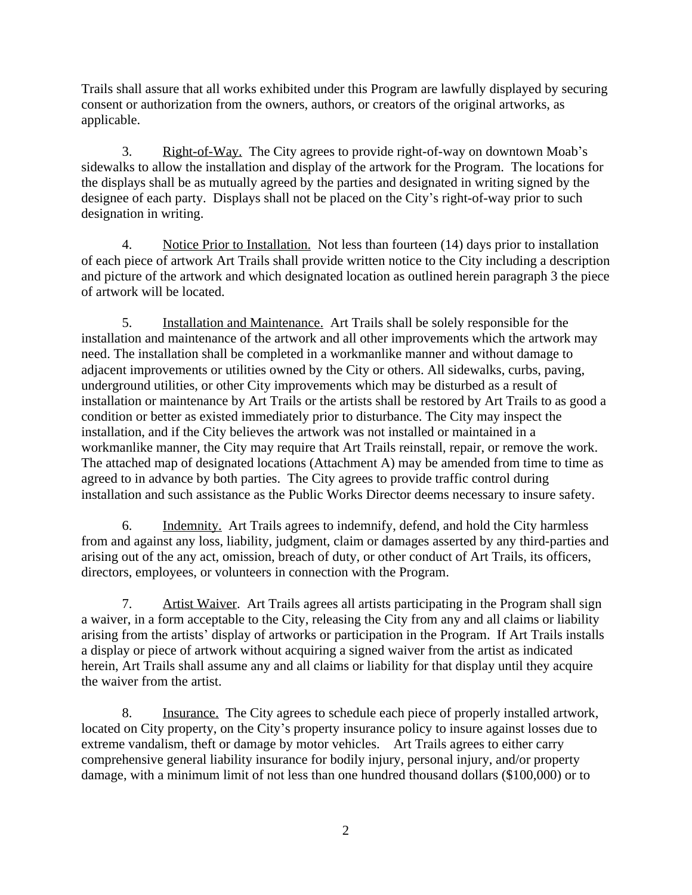Trails shall assure that all works exhibited under this Program are lawfully displayed by securing consent or authorization from the owners, authors, or creators of the original artworks, as applicable.

3. Right-of-Way. The City agrees to provide right-of-way on downtown Moab's sidewalks to allow the installation and display of the artwork for the Program. The locations for the displays shall be as mutually agreed by the parties and designated in writing signed by the designee of each party. Displays shall not be placed on the City's right-of-way prior to such designation in writing.

4. Notice Prior to Installation. Not less than fourteen (14) days prior to installation of each piece of artwork Art Trails shall provide written notice to the City including a description and picture of the artwork and which designated location as outlined herein paragraph 3 the piece of artwork will be located.

5. Installation and Maintenance. Art Trails shall be solely responsible for the installation and maintenance of the artwork and all other improvements which the artwork may need. The installation shall be completed in a workmanlike manner and without damage to adjacent improvements or utilities owned by the City or others. All sidewalks, curbs, paving, underground utilities, or other City improvements which may be disturbed as a result of installation or maintenance by Art Trails or the artists shall be restored by Art Trails to as good a condition or better as existed immediately prior to disturbance. The City may inspect the installation, and if the City believes the artwork was not installed or maintained in a workmanlike manner, the City may require that Art Trails reinstall, repair, or remove the work. The attached map of designated locations (Attachment A) may be amended from time to time as agreed to in advance by both parties. The City agrees to provide traffic control during installation and such assistance as the Public Works Director deems necessary to insure safety.

6. Indemnity. Art Trails agrees to indemnify, defend, and hold the City harmless from and against any loss, liability, judgment, claim or damages asserted by any third-parties and arising out of the any act, omission, breach of duty, or other conduct of Art Trails, its officers, directors, employees, or volunteers in connection with the Program.

7. Artist Waiver. Art Trails agrees all artists participating in the Program shall sign a waiver, in a form acceptable to the City, releasing the City from any and all claims or liability arising from the artists' display of artworks or participation in the Program. If Art Trails installs a display or piece of artwork without acquiring a signed waiver from the artist as indicated herein, Art Trails shall assume any and all claims or liability for that display until they acquire the waiver from the artist.

8. Insurance. The City agrees to schedule each piece of properly installed artwork, located on City property, on the City's property insurance policy to insure against losses due to extreme vandalism, theft or damage by motor vehicles. Art Trails agrees to either carry comprehensive general liability insurance for bodily injury, personal injury, and/or property damage, with a minimum limit of not less than one hundred thousand dollars (\$100,000) or to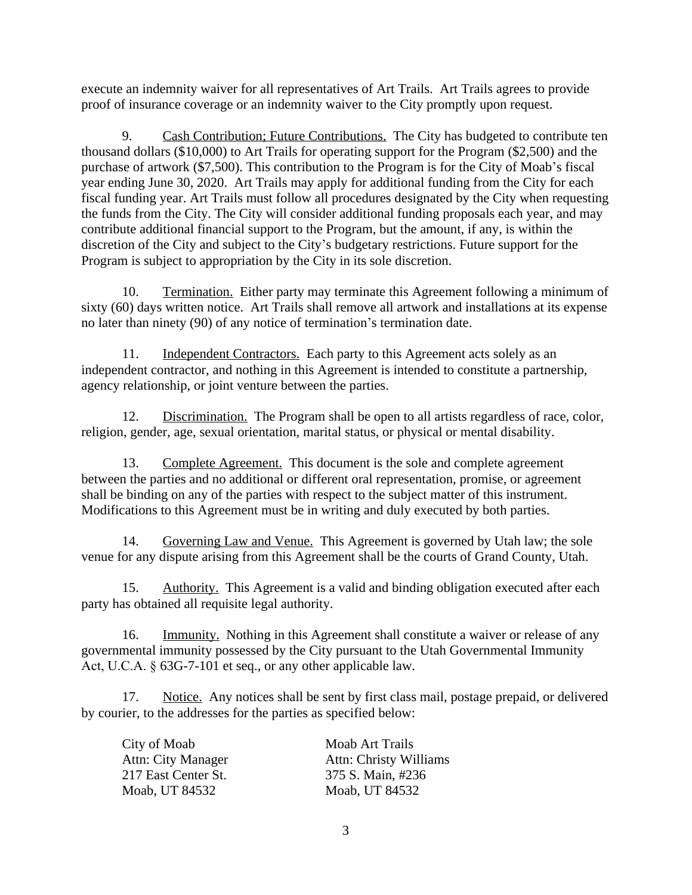execute an indemnity waiver for all representatives of Art Trails. Art Trails agrees to provide proof of insurance coverage or an indemnity waiver to the City promptly upon request.

9. Cash Contribution; Future Contributions. The City has budgeted to contribute ten thousand dollars (\$10,000) to Art Trails for operating support for the Program (\$2,500) and the purchase of artwork (\$7,500). This contribution to the Program is for the City of Moab's fiscal year ending June 30, 2020. Art Trails may apply for additional funding from the City for each fiscal funding year. Art Trails must follow all procedures designated by the City when requesting the funds from the City. The City will consider additional funding proposals each year, and may contribute additional financial support to the Program, but the amount, if any, is within the discretion of the City and subject to the City's budgetary restrictions. Future support for the Program is subject to appropriation by the City in its sole discretion.

10. Termination. Either party may terminate this Agreement following a minimum of sixty (60) days written notice. Art Trails shall remove all artwork and installations at its expense no later than ninety (90) of any notice of termination's termination date.

11. Independent Contractors. Each party to this Agreement acts solely as an independent contractor, and nothing in this Agreement is intended to constitute a partnership, agency relationship, or joint venture between the parties.

12. Discrimination. The Program shall be open to all artists regardless of race, color, religion, gender, age, sexual orientation, marital status, or physical or mental disability.

13. Complete Agreement. This document is the sole and complete agreement between the parties and no additional or different oral representation, promise, or agreement shall be binding on any of the parties with respect to the subject matter of this instrument. Modifications to this Agreement must be in writing and duly executed by both parties.

14. Governing Law and Venue. This Agreement is governed by Utah law; the sole venue for any dispute arising from this Agreement shall be the courts of Grand County, Utah.

15. Authority. This Agreement is a valid and binding obligation executed after each party has obtained all requisite legal authority.

16. Immunity. Nothing in this Agreement shall constitute a waiver or release of any governmental immunity possessed by the City pursuant to the Utah Governmental Immunity Act, U.C.A. § 63G-7-101 et seq., or any other applicable law.

17. Notice. Any notices shall be sent by first class mail, postage prepaid, or delivered by courier, to the addresses for the parties as specified below:

| City of Moab        | Moab Art Trails               |
|---------------------|-------------------------------|
| Attn: City Manager  | <b>Attn: Christy Williams</b> |
| 217 East Center St. | 375 S. Main, #236             |
| Moab, UT 84532      | Moab, UT 84532                |